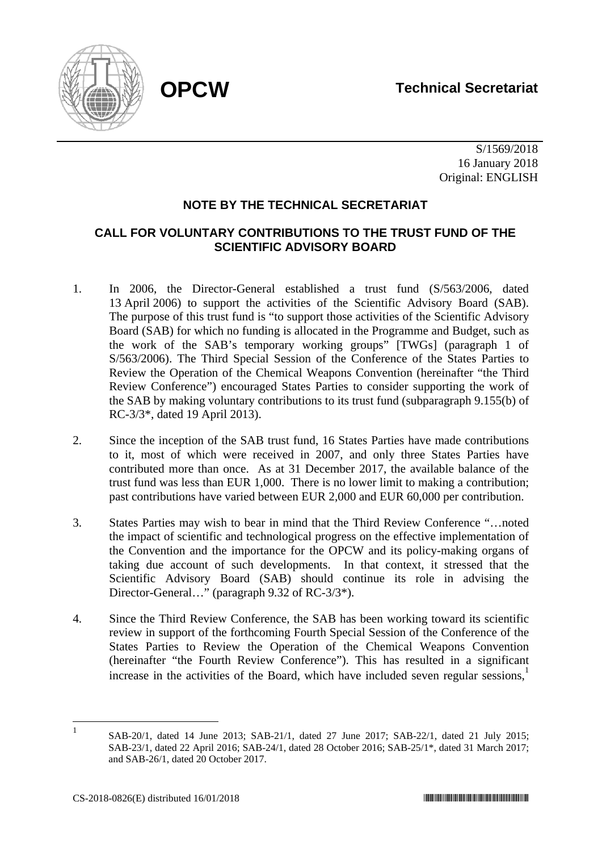

 S/1569/2018 16 January 2018 Original: ENGLISH

## **NOTE BY THE TECHNICAL SECRETARIAT**

## **CALL FOR VOLUNTARY CONTRIBUTIONS TO THE TRUST FUND OF THE SCIENTIFIC ADVISORY BOARD**

- 1. In 2006, the Director-General established a trust fund (S/563/2006, dated 13 April 2006) to support the activities of the Scientific Advisory Board (SAB). The purpose of this trust fund is "to support those activities of the Scientific Advisory Board (SAB) for which no funding is allocated in the Programme and Budget, such as the work of the SAB's temporary working groups" [TWGs] (paragraph 1 of S/563/2006). The Third Special Session of the Conference of the States Parties to Review the Operation of the Chemical Weapons Convention (hereinafter "the Third Review Conference") encouraged States Parties to consider supporting the work of the SAB by making voluntary contributions to its trust fund (subparagraph 9.155(b) of RC-3/3\*, dated 19 April 2013).
- 2. Since the inception of the SAB trust fund, 16 States Parties have made contributions to it, most of which were received in 2007, and only three States Parties have contributed more than once. As at 31 December 2017, the available balance of the trust fund was less than EUR 1,000. There is no lower limit to making a contribution; past contributions have varied between EUR 2,000 and EUR 60,000 per contribution.
- 3. States Parties may wish to bear in mind that the Third Review Conference "…noted the impact of scientific and technological progress on the effective implementation of the Convention and the importance for the OPCW and its policy-making organs of taking due account of such developments. In that context, it stressed that the Scientific Advisory Board (SAB) should continue its role in advising the Director-General…" (paragraph 9.32 of RC-3/3\*).
- 4. Since the Third Review Conference, the SAB has been working toward its scientific review in support of the forthcoming Fourth Special Session of the Conference of the States Parties to Review the Operation of the Chemical Weapons Convention (hereinafter "the Fourth Review Conference"). This has resulted in a significant increase in the activities of the Board, which have included seven regular sessions, $\frac{1}{1}$

 $\frac{1}{1}$  SAB-20/1, dated 14 June 2013; SAB-21/1, dated 27 June 2017; SAB-22/1, dated 21 July 2015; SAB-23/1, dated 22 April 2016; SAB-24/1, dated 28 October 2016; SAB-25/1\*, dated 31 March 2017; and SAB-26/1, dated 20 October 2017.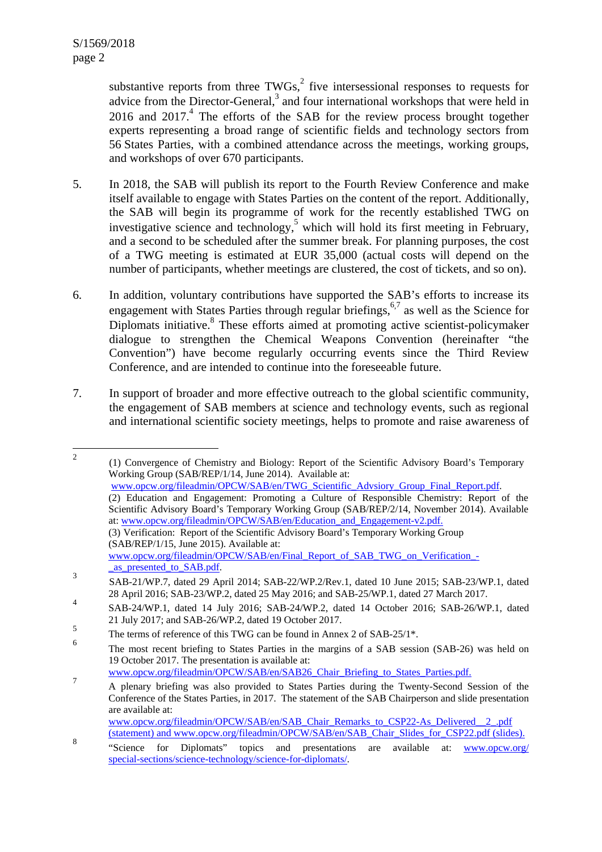substantive reports from three TWGs, $<sup>2</sup>$  five intersessional responses to requests for</sup> advice from the Director-General, $3$  and four international workshops that were held in 2016 and  $2017<sup>4</sup>$ . The efforts of the SAB for the review process brought together experts representing a broad range of scientific fields and technology sectors from 56 States Parties, with a combined attendance across the meetings, working groups, and workshops of over 670 participants.

- 5. In 2018, the SAB will publish its report to the Fourth Review Conference and make itself available to engage with States Parties on the content of the report. Additionally, the SAB will begin its programme of work for the recently established TWG on investigative science and technology,<sup>5</sup> which will hold its first meeting in February, and a second to be scheduled after the summer break. For planning purposes, the cost of a TWG meeting is estimated at EUR 35,000 (actual costs will depend on the number of participants, whether meetings are clustered, the cost of tickets, and so on).
- 6. In addition, voluntary contributions have supported the SAB's efforts to increase its engagement with States Parties through regular briefings,  $67$  as well as the Science for Diplomats initiative.<sup>8</sup> These efforts aimed at promoting active scientist-policymaker dialogue to strengthen the Chemical Weapons Convention (hereinafter "the Convention") have become regularly occurring events since the Third Review Conference, and are intended to continue into the foreseeable future.
- 7. In support of broader and more effective outreach to the global scientific community, the engagement of SAB members at science and technology events, such as regional and international scientific society meetings, helps to promote and raise awareness of

 $\frac{1}{2}$  (1) Convergence of Chemistry and Biology: Report of the Scientific Advisory Board's Temporary Working Group (SAB/REP/1/14, June 2014). Available at: www.opcw.org/fileadmin/OPCW/SAB/en/TWG\_Scientific\_Advsiory\_Group\_Final\_Report.pdf. (2) Education and Engagement: Promoting a Culture of Responsible Chemistry: Report of the Scientific Advisory Board's Temporary Working Group (SAB/REP/2/14, November 2014). Available at: www.opcw.org/fileadmin/OPCW/SAB/en/Education\_and\_Engagement-v2.pdf. (3) Verification: Report of the Scientific Advisory Board's Temporary Working Group (SAB/REP/1/15, June 2015). Available at: www.opcw.org/fileadmin/OPCW/SAB/en/Final\_Report\_of\_SAB\_TWG\_on\_Verification\_ as presented to SAB.pdf.

SAB-21/WP.7, dated 29 April 2014; SAB-22/WP.2/Rev.1, dated 10 June 2015; SAB-23/WP.1, dated 28 April 2016; SAB-23/WP.2, dated 25 May 2016; and SAB-25/WP.1, dated 27 March 2017. 4

SAB-24/WP.1, dated 14 July 2016; SAB-24/WP.2, dated 14 October 2016; SAB-26/WP.1, dated 21 July 2017; and SAB-26/WP.2, dated 19 October 2017.

<sup>5</sup> The terms of reference of this TWG can be found in Annex 2 of SAB-25/1\*.

<sup>6</sup> The most recent briefing to States Parties in the margins of a SAB session (SAB-26) was held on 19 October 2017. The presentation is available at:

www.opcw.org/fileadmin/OPCW/SAB/en/SAB26\_Chair\_Briefing\_to\_States\_Parties.pdf.

<sup>&</sup>lt;sup>7</sup> A plenary briefing was also provided to States Parties during the Twenty-Second Session of the Conference of the States Parties, in 2017. The statement of the SAB Chairperson and slide presentation are available at: www.opcw.org/fileadmin/OPCW/SAB/en/SAB\_Chair\_Remarks\_to\_CSP22-As\_Delivered\_\_2\_.pdf

<sup>(</sup>statement) and www.opcw.org/fileadmin/OPCW/SAB/en/SAB\_Chair\_Slides\_for\_CSP22.pdf (slides).

<sup>8</sup> "Science for Diplomats" topics and presentations are available at: www.opcw.org/ special-sections/science-technology/science-for-diplomats/.